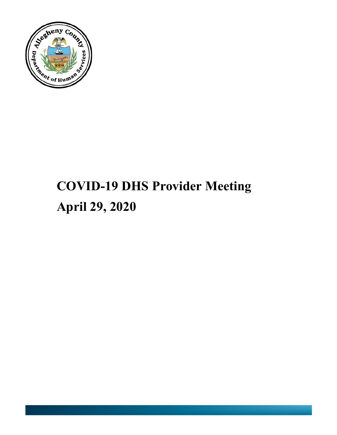

# **COVID-19 DHS Provider Meeting April 29, 2020**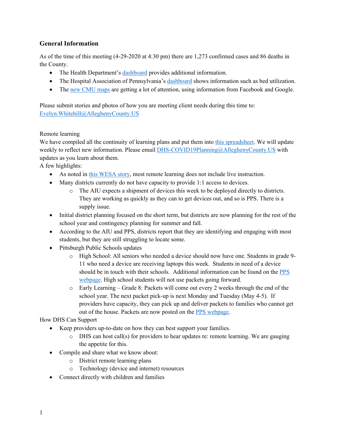## **General Information**

As of the time of this meeting (4-29-2020 at 4:30 pm) there are 1,273 confirmed cases and 86 deaths in the County.

- The Health Department's [dashboard](https://tableau.alleghenycounty.us/t/PublicSite/views/COVID-19AlleghenyCounty/COVID-19?iframeSizedToWindow=true&:embed=y&:showAppBanner=false&:display_count=no&:showVizHome=no&:origin=viz_share_link) provides additional information.
- The Hospital Association of Pennsylvania's [dashboard](https://public.tableau.com/profile/hap.research#!/vizhome/EEIRegion/EEIRegion) shows information such as bed utilization.
- The [new CMU maps](https://covidcast.cmu.edu/) are getting a lot of attention, using information from Facebook and Google.

Please submit stories and photos of how you are meeting client needs during this time to: [Evelyn.Whitehill@AlleghenyCounty.US](mailto:Evelyn.Whitehill@AlleghenyCounty.US)

#### Remote learning

We have compiled all the continuity of learning plans and put them into [this spreadsheet.](http://dhstraumaresourcelibrary.alleghenycounty.us/wp-content/uploads/2020/04/School-Districts-Remote-Learning-Plans.xlsx) We will update weekly to reflect new information. Please email [DHS-COVID19Planning@AlleghenyCounty.US](mailto:DHS-COVID19Planning@AlleghenyCounty.US) with updates as you learn about them.

A few highlights:

- As noted in [this WESA story,](https://www.wesa.fm/post/most-students-aren-t-being-instructed-real-time-according-plans-submitted-state) most remote learning does not include live instruction.
- Many districts currently do not have capacity to provide 1:1 access to devices.
	- o The AIU expects a shipment of devices this week to be deployed directly to districts. They are working as quickly as they can to get devices out, and so is PPS. There is a supply issue.
- Initial district planning focused on the short term, but districts are now planning for the rest of the school year and contingency planning for summer and fall.
- According to the AIU and PPS, districts report that they are identifying and engaging with most students, but they are still struggling to locate some.
- Pittsburgh Public Schools updates
	- o High School: All seniors who needed a device should now have one. Students in grade 9- 11 who need a device are receiving laptops this week. Students in need of a device should be in touch with their schools. Additional information can be found on the [PPS](https://www.pghschools.org/Page/5368)  [webpage.](https://www.pghschools.org/Page/5368) High school students will not use packets going forward.
	- o Early Learning Grade 8: Packets will come out every 2 weeks through the end of the school year. The next packet pick-up is next Monday and Tuesday (May 4-5). If providers have capacity, they can pick up and deliver packets to families who cannot get out of the house. Packets are now posted on th[e PPS webpage.](https://www.pghschools.org/Page/5368)

How DHS Can Support

- Keep providers up-to-date on how they can best support your families.
	- $\circ$  DHS can host call(s) for providers to hear updates re: remote learning. We are gauging the appetite for this.
- Compile and share what we know about:
	- o District remote learning plans
	- o Technology (device and internet) resources
- Connect directly with children and families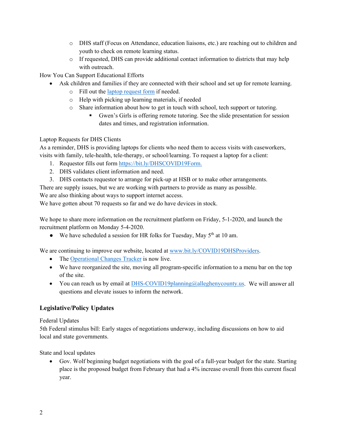- o DHS staff (Focus on Attendance, education liaisons, etc.) are reaching out to children and youth to check on remote learning status.
- $\circ$  If requested, DHS can provide additional contact information to districts that may help with outreach.

How You Can Support Educational Efforts

- Ask children and families if they are connected with their school and set up for remote learning.
	- o Fill out the [laptop request form](https://bit.ly/DHSCOVID19Form) if needed.
	- o Help with picking up learning materials, if needed
	- o Share information about how to get in touch with school, tech support or tutoring.
		- Gwen's Girls is offering remote tutoring. See the slide presentation for session dates and times, and registration information.

#### Laptop Requests for DHS Clients

As a reminder, DHS is providing laptops for clients who need them to access visits with caseworkers, visits with family, tele-health, tele-therapy, or school/learning. To request a laptop for a client:

- 1. Requestor fills out form [https://bit.ly/DHSCOVID19Form.](https://bit.ly/DHSCOVID19Form)
- 2. DHS validates client information and need.
- 3. DHS contacts requestor to arrange for pick-up at HSB or to make other arrangements.

There are supply issues, but we are working with partners to provide as many as possible.

We are also thinking about ways to support internet access.

We have gotten about 70 requests so far and we do have devices in stock.

We hope to share more information on the recruitment platform on Friday, 5-1-2020, and launch the recruitment platform on Monday 5-4-2020.

• We have scheduled a session for HR folks for Tuesday, May  $5<sup>th</sup>$  at 10 am.

We are continuing to improve our website, located at [www.bit.ly/COVID19DHSProviders.](http://www.bit.ly/COVID19DHSProviders)

- The [Operational Changes Tracker](https://tableau.alleghenycounty.us/t/PublicSite/views/AlleghenyCountyHumanServicesOperationalChangesTracker/LandingPage?iframeSizedToWindow=true&%3Aembed=y&%3AshowAppBanner=false&%3Adisplay_count=no&%3AshowVizHome=no&%3Aorigin=viz_share_link#1) is now live.
- We have reorganized the site, moving all program-specific information to a menu bar on the top of the site.
- You can reach us by email at [DHS-COVID19planning@alleghenycounty.us.](mailto:DHS-COVID19planning@alleghenycounty.us) We will answer all questions and elevate issues to inform the network.

## **Legislative/Policy Updates**

Federal Updates

5th Federal stimulus bill: Early stages of negotiations underway, including discussions on how to aid local and state governments.

State and local updates

• Gov. Wolf beginning budget negotiations with the goal of a full-year budget for the state. Starting place is the proposed budget from February that had a 4% increase overall from this current fiscal year.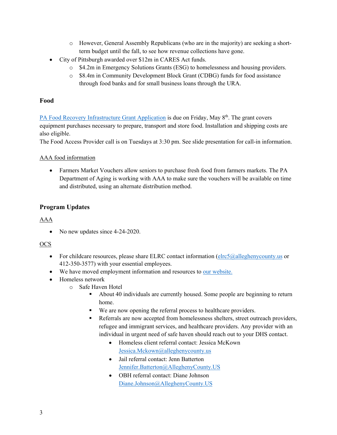- o However, General Assembly Republicans (who are in the majority) are seeking a shortterm budget until the fall, to see how revenue collections have gone.
- City of Pittsburgh awarded over \$12m in CARES Act funds.
	- o \$4.2m in Emergency Solutions Grants (ESG) to homelessness and housing providers.
	- o \$8.4m in Community Development Block Grant (CDBG) funds for food assistance through food banks and for small business loans through the URA.

### **Food**

[PA Food Recovery Infrastructure Grant Application](https://www.dep.pa.gov/Business/Land/Waste/Recycling/Municipal-Resources/FinancialAssistance/Pages/default.aspx) is due on Friday, May 8<sup>th</sup>. The grant covers equipment purchases necessary to prepare, transport and store food. Installation and shipping costs are also eligible.

The Food Access Provider call is on Tuesdays at 3:30 pm. See slide presentation for call-in information.

#### AAA food information

• Farmers Market Vouchers allow seniors to purchase fresh food from farmers markets. The PA Department of Aging is working with AAA to make sure the vouchers will be available on time and distributed, using an alternate distribution method.

## **Program Updates**

#### AAA

• No new updates since 4-24-2020.

#### **OCS**

- For childcare resources, please share ELRC contact information ( $e$ lrc $5$ @alleghenycounty.us or 412-350-3577) with your essential employees.
- We have moved employment information and resources to our [website.](https://bit.ly/COVID19DHSProviders)
- Homeless network
	- o Safe Haven Hotel
		- About 40 individuals are currently housed. Some people are beginning to return home.
		- We are now opening the referral process to healthcare providers.
		- Referrals are now accepted from homelessness shelters, street outreach providers, refugee and immigrant services, and healthcare providers. Any provider with an individual in urgent need of safe haven should reach out to your DHS contact.
			- Homeless client referral contact: Jessica McKown [Jessica.Mckown@alleghenycounty.us](mailto:Jessica.Mckown@alleghenycounty.us)
			- Jail referral contact: Jenn Batterton [Jennifer.Batterton@AlleghenyCounty.US](mailto:Jennifer.Batterton@AlleghenyCounty.US)
			- OBH referral contact: Diane Johnson [Diane.Johnson@AlleghenyCounty.US](mailto:Diane.Johnson@AlleghenyCounty.US)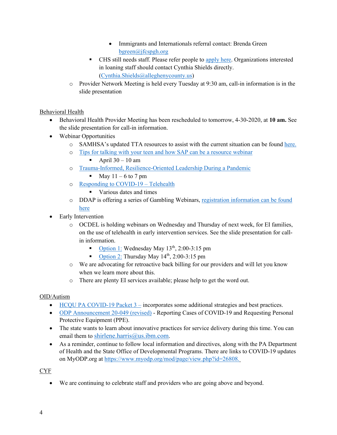- Immigrants and Internationals referral contact: Brenda Green [bgreen@jfcspgh.org](mailto:bgreen@jfcspgh.org)
- CHS still needs staff. Please refer people to [apply here.](https://communityhumanservices.applytojob.com/apply/HCMAiP6kQv/Community-Support-Specialist-Hotel-2020) Organizations interested in loaning staff should contact Cynthia Shields directly. [\(Cynthia.Shields@alleghenycounty.us\)](mailto:Cynthia.Shields@alleghenycounty.us)
- o Provider Network Meeting is held every Tuesday at 9:30 am, call-in information is in the slide presentation

## Behavioral Health

- Behavioral Health Provider Meeting has been rescheduled to tomorrow, 4-30-2020, at **10 am.** See the slide presentation for call-in information.
- Webinar Opportunities
	- o SAMHSA's updated TTA resources to assist with the current situation can be found [here.](https://gcc01.safelinks.protection.outlook.com/?url=https%3A%2F%2Fpaproviders.us15.list-manage.com%2Ftrack%2Fclick%3Fu%3Df289fcffa5c7ce149542b94fa%26id%3D310d9c4b98%26e%3D42f6041ad7&data=02%7C01%7Cdenise.macerelli%40alleghenycounty.us%7C9a71bda31c7c41183ba708d7e894f7e5%7Ce0273d12e4cb4eb19f708bba16fb968d%7C0%7C0%7C637233598823822878&sdata=3T7MOwZZgunLS3GXK%2Fd1Zxkb3GY5NO%2FYViQo%2Bb7Vsjc%3D&reserved=0)
	- o [Tips for talking with your teen and how SAP can be a resource webinar](https://gcc01.safelinks.protection.outlook.com/?url=https%3A%2F%2Fzoom.us%2Fwebinar%2Fregister%2FWN__Epy6_XPSm-nY4Iok9vaLQ&data=02%7C01%7Clatika.davis-jones%40ALLEGHENYCOUNTY.US%7C44788b8689d84b12dda708d7eab94d68%7Ce0273d12e4cb4eb19f708bba16fb968d%7C0%7C0%7C637235954627283440&sdata=12YdCT46GO7eZU9XmEyugHyR8i5GqkeSc%2F4L3dMT1o0%3D&reserved=0)

April  $30 - 10$  am

- o [Trauma-Informed, Resilience-Oriented Leadership During a Pandemic](https://gcc01.safelinks.protection.outlook.com/?url=https%3A%2F%2Fevents-na6.adobeconnect.com%2Fcontent%2Fconnect%2Fc1%2F1417634307%2Fen%2Fevents%2Fevent%2Fshared%2F1804416089%2Fevent_landing.html%3Fsco-id%3D2112474689&data=02%7C01%7Clatika.davis-jones%40ALLEGHENYCOUNTY.US%7C44788b8689d84b12dda708d7eab94d68%7Ce0273d12e4cb4eb19f708bba16fb968d%7C0%7C0%7C637235954627283440&sdata=wFuNp0bjlA1jlBvNcn4%2FJnbwGQboyEwxk5zm0nrOsDE%3D&reserved=0)
	- $\blacksquare$  May 11 6 to 7 pm
- o [Responding to COVID-19 –](https://gcc01.safelinks.protection.outlook.com/?url=https%3A%2F%2Fmhttcnetwork.org%2Fcenters%2Fmhttc-network-coordinating-office%2Fresponding-covid-19-telehealth&data=02%7C01%7Clatika.davis-jones%40ALLEGHENYCOUNTY.US%7C44788b8689d84b12dda708d7eab94d68%7Ce0273d12e4cb4eb19f708bba16fb968d%7C0%7C0%7C637235954627283440&sdata=uoOLANUSpU4YdXySwxMcNAS6bNc%2F1nq2y12MBax94ew%3D&reserved=0) Telehealth
	- Various dates and times
- o DDAP is offering a series of Gambling Webinars, [registration information can be found](https://www.pacouncil.com/)  [here](https://www.pacouncil.com/)
- Early Intervention
	- $\circ$  OCDEL is holding webinars on Wednesday and Thursday of next week, for EI families, on the use of telehealth in early intervention services. See the slide presentation for callin information.
		- [Option 1:](https://paiu.zoom.us/j/98880608928) Wednesday May  $13^{th}$ , 2:00-3:15 pm
		- [Option 2:](https://paiu.zoom.us/j/98880608928) Thursday May  $14<sup>th</sup>$ , 2:00-3:15 pm
	- o We are advocating for retroactive back billing for our providers and will let you know when we learn more about this.
	- o There are plenty EI services available; please help to get the word out.

## OID/Autism

- [HCQU PA COVID-19 Packet 3](http://dhstraumaresourcelibrary.alleghenycounty.us/wp-content/uploads/2020/04/COVID-19-Packet-3-Apr2020.pdf) incorporates some additional strategies and best practices.
- [ODP Announcement 20-049 \(revised\)](http://www.paproviders.org/wp-content/uploads/2020/04/ODPANN-20-049-Update-Coronavirus-Disease-2019-COVID-19-Reporting-Cases-of-COVID-19-and-Requesting-Personal-Protective-Equipment-PPE.pdf) Reporting Cases of COVID-19 and Requesting Personal Protective Equipment (PPE).
- The state wants to learn about innovative practices for service delivery during this time. You can email them to [shirlene.harris@us.ibm.com.](mailto:shirlene.harris@us.ibm.com)
- As a reminder, continue to follow local information and directives, along with the PA Department of Health and the State Office of Developmental Programs. There are links to COVID-19 updates on MyODP.org at [https://www.myodp.org/mod/page/view.php?id=26808.](https://gcc01.safelinks.protection.outlook.com/?url=https%3A%2F%2Fwww.myodp.org%2Fmod%2Fpage%2Fview.php%3Fid%3D26808&data=02%7C01%7Cmarian.tresky%40ALLEGHENYCOUNTY.US%7C5eb839c0b96140b6ba0208d7cccb72bc%7Ce0273d12e4cb4eb19f708bba16fb968d%7C0%7C0%7C637203046490297963&sdata=3Vnl0Uojgvy3bXfsnPBUxE%2B94mYuiYbm6xlgLw0TAhE%3D&reserved=0)

#### **CYF**

We are continuing to celebrate staff and providers who are going above and beyond.